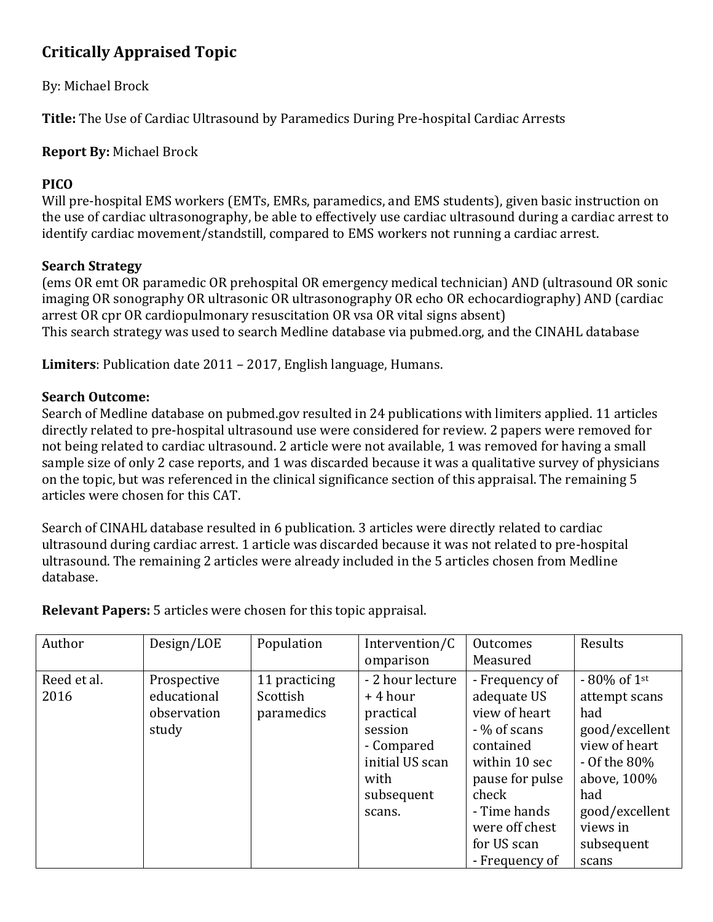# **Critically Appraised Topic**

# By: Michael Brock

**Title:** The Use of Cardiac Ultrasound by Paramedics During Pre-hospital Cardiac Arrests

# **Report By:** Michael Brock

### **PICO**

Will pre-hospital EMS workers (EMTs, EMRs, paramedics, and EMS students), given basic instruction on the use of cardiac ultrasonography, be able to effectively use cardiac ultrasound during a cardiac arrest to identify cardiac movement/standstill, compared to EMS workers not running a cardiac arrest.

#### **Search Strategy**

(ems OR emt OR paramedic OR prehospital OR emergency medical technician) AND (ultrasound OR sonic imaging OR sonography OR ultrasonic OR ultrasonography OR echo OR echocardiography) AND (cardiac arrest OR cpr OR cardiopulmonary resuscitation OR vsa OR vital signs absent) This search strategy was used to search Medline database via pubmed.org, and the CINAHL database

**Limiters**: Publication date 2011 – 2017, English language, Humans.

# **Search Outcome:**

Search of Medline database on pubmed.gov resulted in 24 publications with limiters applied. 11 articles directly related to pre-hospital ultrasound use were considered for review. 2 papers were removed for not being related to cardiac ultrasound. 2 article were not available, 1 was removed for having a small sample size of only 2 case reports, and 1 was discarded because it was a qualitative survey of physicians on the topic, but was referenced in the clinical significance section of this appraisal. The remaining 5 articles were chosen for this CAT.

Search of CINAHL database resulted in 6 publication. 3 articles were directly related to cardiac ultrasound during cardiac arrest. 1 article was discarded because it was not related to pre-hospital ultrasound. The remaining 2 articles were already included in the 5 articles chosen from Medline database.

| Author      | Design/LOE  | Population    | Intervention/C   | Outcomes        | Results        |
|-------------|-------------|---------------|------------------|-----------------|----------------|
|             |             |               | omparison        | Measured        |                |
| Reed et al. | Prospective | 11 practicing | - 2 hour lecture | - Frequency of  | $-80\%$ of 1st |
| 2016        | educational | Scottish      | +4 hour          | adequate US     | attempt scans  |
|             | observation | paramedics    | practical        | view of heart   | had            |
|             | study       |               | session          | - % of scans    | good/excellent |
|             |             |               | - Compared       | contained       | view of heart  |
|             |             |               | initial US scan  | within 10 sec   | - Of the 80%   |
|             |             |               | with             | pause for pulse | above, 100%    |
|             |             |               | subsequent       | check           | had            |
|             |             |               | scans.           | - Time hands    | good/excellent |
|             |             |               |                  | were off chest  | views in       |
|             |             |               |                  | for US scan     | subsequent     |
|             |             |               |                  | - Frequency of  | scans          |

**Relevant Papers:** 5 articles were chosen for this topic appraisal.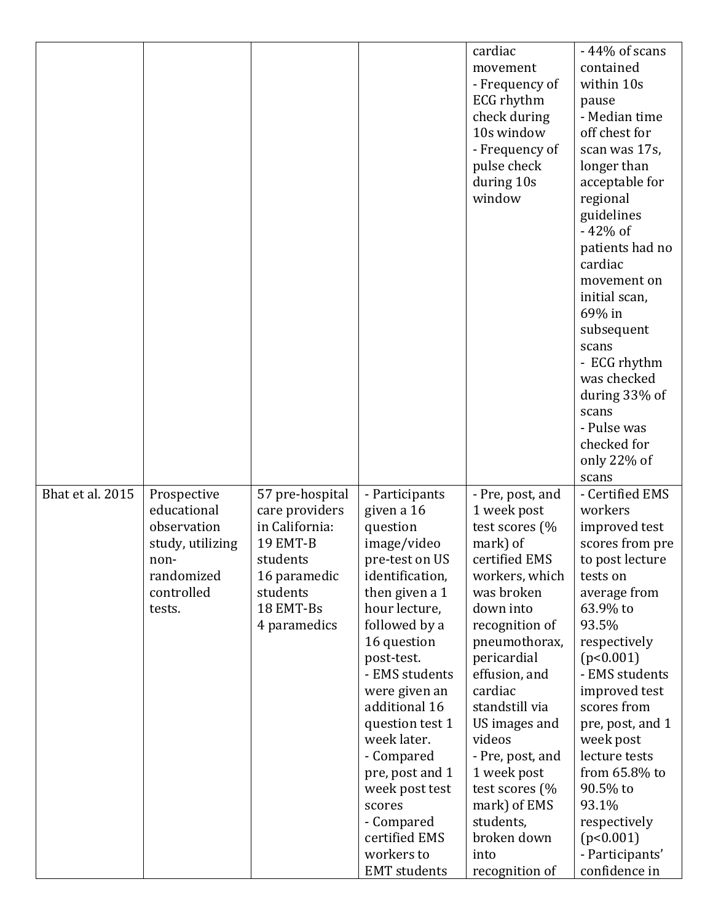|                  |                  |                 |                     | cardiac          | -44% of scans    |
|------------------|------------------|-----------------|---------------------|------------------|------------------|
|                  |                  |                 |                     | movement         | contained        |
|                  |                  |                 |                     | - Frequency of   | within 10s       |
|                  |                  |                 |                     | ECG rhythm       | pause            |
|                  |                  |                 |                     | check during     | - Median time    |
|                  |                  |                 |                     | 10s window       | off chest for    |
|                  |                  |                 |                     | - Frequency of   | scan was 17s,    |
|                  |                  |                 |                     | pulse check      | longer than      |
|                  |                  |                 |                     | during 10s       | acceptable for   |
|                  |                  |                 |                     | window           | regional         |
|                  |                  |                 |                     |                  | guidelines       |
|                  |                  |                 |                     |                  | $-42%$ of        |
|                  |                  |                 |                     |                  | patients had no  |
|                  |                  |                 |                     |                  | cardiac          |
|                  |                  |                 |                     |                  | movement on      |
|                  |                  |                 |                     |                  | initial scan,    |
|                  |                  |                 |                     |                  | 69% in           |
|                  |                  |                 |                     |                  | subsequent       |
|                  |                  |                 |                     |                  | scans            |
|                  |                  |                 |                     |                  | - ECG rhythm     |
|                  |                  |                 |                     |                  | was checked      |
|                  |                  |                 |                     |                  | during 33% of    |
|                  |                  |                 |                     |                  | scans            |
|                  |                  |                 |                     |                  | - Pulse was      |
|                  |                  |                 |                     |                  | checked for      |
|                  |                  |                 |                     |                  | only $22\%$ of   |
|                  |                  |                 |                     |                  | scans            |
| Bhat et al. 2015 | Prospective      | 57 pre-hospital | - Participants      | - Pre, post, and | - Certified EMS  |
|                  | educational      | care providers  | given a 16          | 1 week post      | workers          |
|                  | observation      | in California:  | question            | test scores (%   | improved test    |
|                  | study, utilizing | <b>19 EMT-B</b> | image/video         | mark) of         | scores from pre  |
|                  | non-             | students        | pre-test on US      | certified EMS    | to post lecture  |
|                  | randomized       | 16 paramedic    | identification,     | workers, which   | tests on         |
|                  | controlled       | students        | then given a 1      | was broken       | average from     |
|                  | tests.           | 18 EMT-Bs       | hour lecture,       | down into        | 63.9% to         |
|                  |                  | 4 paramedics    | followed by a       | recognition of   | 93.5%            |
|                  |                  |                 | 16 question         | pneumothorax,    | respectively     |
|                  |                  |                 | post-test.          | pericardial      | (p<0.001)        |
|                  |                  |                 | - EMS students      | effusion, and    | - EMS students   |
|                  |                  |                 | were given an       | cardiac          | improved test    |
|                  |                  |                 | additional 16       | standstill via   | scores from      |
|                  |                  |                 | question test 1     | US images and    | pre, post, and 1 |
|                  |                  |                 | week later.         | videos           | week post        |
|                  |                  |                 | - Compared          | - Pre, post, and | lecture tests    |
|                  |                  |                 | pre, post and 1     | 1 week post      | from 65.8% to    |
|                  |                  |                 | week post test      | test scores (%   | 90.5% to         |
|                  |                  |                 | scores              | mark) of EMS     | 93.1%            |
|                  |                  |                 | - Compared          | students,        | respectively     |
|                  |                  |                 | certified EMS       | broken down      | (p<0.001)        |
|                  |                  |                 | workers to          | into             | - Participants'  |
|                  |                  |                 | <b>EMT</b> students | recognition of   | confidence in    |
|                  |                  |                 |                     |                  |                  |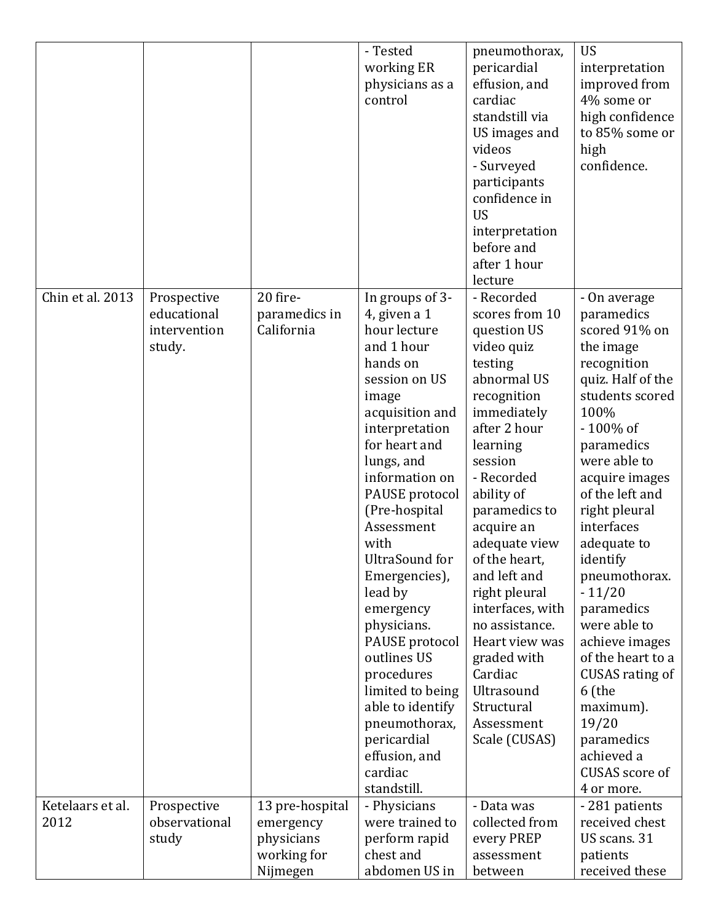|                          |                                                      |                                                                       | - Tested<br>working ER<br>physicians as a<br>control                                                                                                                                                                                                                                                                                                                                                                                                                                           | pneumothorax,<br>pericardial<br>effusion, and<br>cardiac<br>standstill via<br>US images and<br>videos<br>- Surveyed<br>participants<br>confidence in<br><b>US</b><br>interpretation<br>before and<br>after 1 hour<br>lecture                                                                                                                                                                                                        | <b>US</b><br>interpretation<br>improved from<br>4% some or<br>high confidence<br>to 85% some or<br>high<br>confidence.                                                                                                                                                                                                                                                                                                                                                            |
|--------------------------|------------------------------------------------------|-----------------------------------------------------------------------|------------------------------------------------------------------------------------------------------------------------------------------------------------------------------------------------------------------------------------------------------------------------------------------------------------------------------------------------------------------------------------------------------------------------------------------------------------------------------------------------|-------------------------------------------------------------------------------------------------------------------------------------------------------------------------------------------------------------------------------------------------------------------------------------------------------------------------------------------------------------------------------------------------------------------------------------|-----------------------------------------------------------------------------------------------------------------------------------------------------------------------------------------------------------------------------------------------------------------------------------------------------------------------------------------------------------------------------------------------------------------------------------------------------------------------------------|
| Chin et al. 2013         | Prospective<br>educational<br>intervention<br>study. | 20 fire-<br>paramedics in<br>California                               | In groups of 3-<br>4, given a 1<br>hour lecture<br>and 1 hour<br>hands on<br>session on US<br>image<br>acquisition and<br>interpretation<br>for heart and<br>lungs, and<br>information on<br>PAUSE protocol<br>(Pre-hospital<br>Assessment<br>with<br>UltraSound for<br>Emergencies),<br>lead by<br>emergency<br>physicians.<br>PAUSE protocol<br>outlines US<br>procedures<br>limited to being<br>able to identify<br>pneumothorax,<br>pericardial<br>effusion, and<br>cardiac<br>standstill. | - Recorded<br>scores from 10<br>question US<br>video quiz<br>testing<br>abnormal US<br>recognition<br>immediately<br>after 2 hour<br>learning<br>session<br>- Recorded<br>ability of<br>paramedics to<br>acquire an<br>adequate view<br>of the heart,<br>and left and<br>right pleural<br>interfaces, with<br>no assistance.<br>Heart view was<br>graded with<br>Cardiac<br>Ultrasound<br>Structural<br>Assessment<br>Scale (CUSAS) | - On average<br>paramedics<br>scored 91% on<br>the image<br>recognition<br>quiz. Half of the<br>students scored<br>100%<br>-100% of<br>paramedics<br>were able to<br>acquire images<br>of the left and<br>right pleural<br>interfaces<br>adequate to<br>identify<br>pneumothorax.<br>$-11/20$<br>paramedics<br>were able to<br>achieve images<br>of the heart to a<br>CUSAS rating of<br>6 (the<br>maximum).<br>19/20<br>paramedics<br>achieved a<br>CUSAS score of<br>4 or more. |
| Ketelaars et al.<br>2012 | Prospective<br>observational<br>study                | 13 pre-hospital<br>emergency<br>physicians<br>working for<br>Nijmegen | - Physicians<br>were trained to<br>perform rapid<br>chest and<br>abdomen US in                                                                                                                                                                                                                                                                                                                                                                                                                 | - Data was<br>collected from<br>every PREP<br>assessment<br>between                                                                                                                                                                                                                                                                                                                                                                 | -281 patients<br>received chest<br>US scans. 31<br>patients<br>received these                                                                                                                                                                                                                                                                                                                                                                                                     |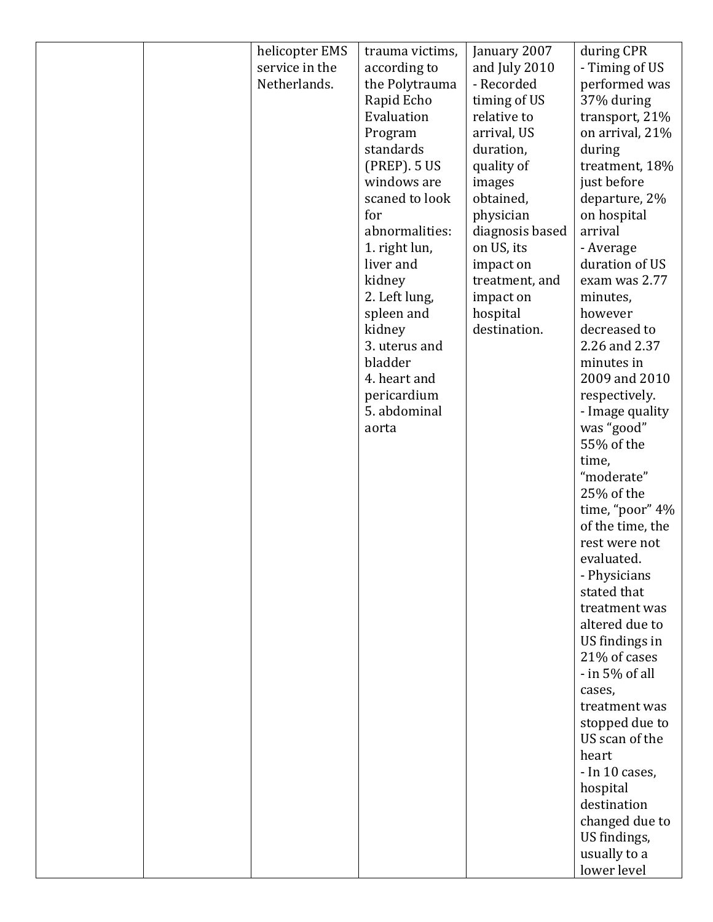| helicopter EMS | trauma victims, | January 2007    | during CPR                       |
|----------------|-----------------|-----------------|----------------------------------|
| service in the | according to    | and July 2010   | - Timing of US                   |
| Netherlands.   | the Polytrauma  | - Recorded      | performed was                    |
|                | Rapid Echo      | timing of US    | 37% during                       |
|                | Evaluation      | relative to     | transport, 21%                   |
|                | Program         | arrival, US     | on arrival, 21%                  |
|                | standards       | duration,       | during                           |
|                | (PREP). 5 US    | quality of      | treatment, 18%                   |
|                | windows are     | images          | just before                      |
|                | scaned to look  | obtained,       | departure, 2%                    |
|                | for             | physician       | on hospital                      |
|                | abnormalities:  | diagnosis based | arrival                          |
|                | 1. right lun,   | on US, its      | - Average                        |
|                | liver and       | impact on       | duration of US                   |
|                | kidney          | treatment, and  | exam was 2.77                    |
|                | 2. Left lung,   | impact on       | minutes,                         |
|                | spleen and      | hospital        | however                          |
|                | kidney          | destination.    | decreased to                     |
|                | 3. uterus and   |                 | 2.26 and 2.37                    |
|                | bladder         |                 | minutes in                       |
|                | 4. heart and    |                 | 2009 and 2010                    |
|                | pericardium     |                 | respectively.                    |
|                | 5. abdominal    |                 | - Image quality                  |
|                | aorta           |                 | was "good"                       |
|                |                 |                 | 55% of the                       |
|                |                 |                 | time,                            |
|                |                 |                 | "moderate"                       |
|                |                 |                 | 25% of the                       |
|                |                 |                 | time, "poor" 4%                  |
|                |                 |                 | of the time, the                 |
|                |                 |                 | rest were not                    |
|                |                 |                 | evaluated                        |
|                |                 |                 | - Physicians                     |
|                |                 |                 | stated that                      |
|                |                 |                 | treatment was                    |
|                |                 |                 | altered due to                   |
|                |                 |                 | US findings in                   |
|                |                 |                 | 21% of cases                     |
|                |                 |                 | - in 5% of all                   |
|                |                 |                 | cases,                           |
|                |                 |                 | treatment was                    |
|                |                 |                 | stopped due to<br>US scan of the |
|                |                 |                 | heart                            |
|                |                 |                 | - In 10 cases,                   |
|                |                 |                 | hospital                         |
|                |                 |                 | destination                      |
|                |                 |                 | changed due to                   |
|                |                 |                 | US findings,                     |
|                |                 |                 | usually to a                     |
|                |                 |                 | lower level                      |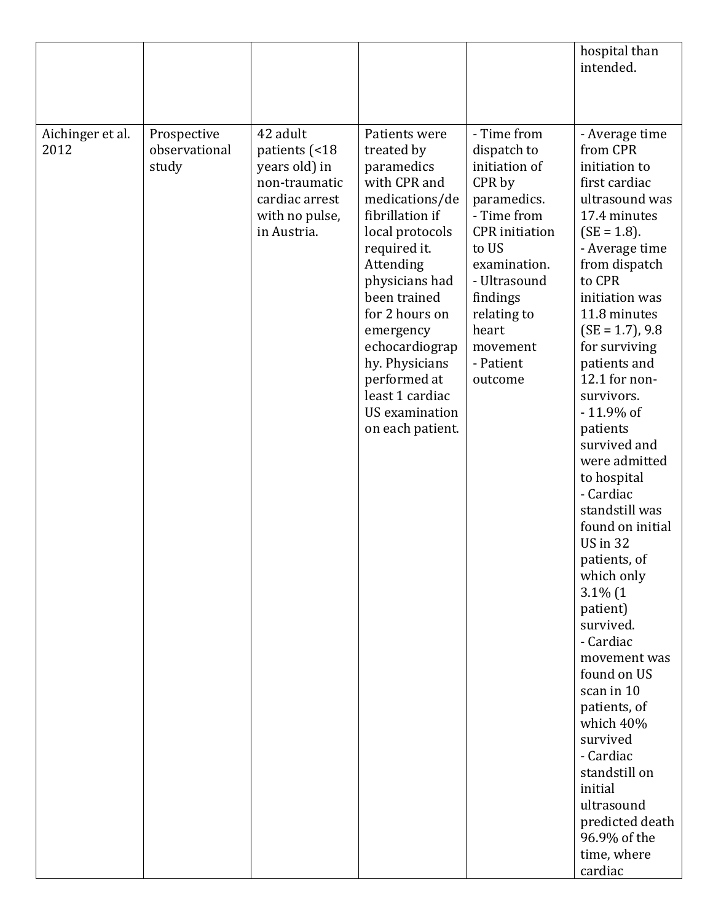|                          |                                       |                                                                                                                |                                                                                                                                                                                                                                                                                                                                     |                                                                                                                                                                                                                               | hospital than<br>intended.                                                                                                                                                                                                                                                                                                                                                                                                                                                                                                                                                                                                                                                                                                       |
|--------------------------|---------------------------------------|----------------------------------------------------------------------------------------------------------------|-------------------------------------------------------------------------------------------------------------------------------------------------------------------------------------------------------------------------------------------------------------------------------------------------------------------------------------|-------------------------------------------------------------------------------------------------------------------------------------------------------------------------------------------------------------------------------|----------------------------------------------------------------------------------------------------------------------------------------------------------------------------------------------------------------------------------------------------------------------------------------------------------------------------------------------------------------------------------------------------------------------------------------------------------------------------------------------------------------------------------------------------------------------------------------------------------------------------------------------------------------------------------------------------------------------------------|
| Aichinger et al.<br>2012 | Prospective<br>observational<br>study | 42 adult<br>patients (<18<br>years old) in<br>non-traumatic<br>cardiac arrest<br>with no pulse,<br>in Austria. | Patients were<br>treated by<br>paramedics<br>with CPR and<br>medications/de<br>fibrillation if<br>local protocols<br>required it.<br>Attending<br>physicians had<br>been trained<br>for 2 hours on<br>emergency<br>echocardiograp<br>hy. Physicians<br>performed at<br>least 1 cardiac<br><b>US</b> examination<br>on each patient. | - Time from<br>dispatch to<br>initiation of<br>CPR by<br>paramedics.<br>- Time from<br><b>CPR</b> initiation<br>to US<br>examination.<br>- Ultrasound<br>findings<br>relating to<br>heart<br>movement<br>- Patient<br>outcome | - Average time<br>from CPR<br>initiation to<br>first cardiac<br>ultrasound was<br>17.4 minutes<br>$(SE = 1.8)$ .<br>- Average time<br>from dispatch<br>to CPR<br>initiation was<br>11.8 minutes<br>$(SE = 1.7)$ , 9.8<br>for surviving<br>patients and<br>12.1 for non-<br>survivors.<br>-11.9% of<br>patients<br>survived and<br>were admitted<br>to hospital<br>- Cardiac<br>standstill was<br>found on initial<br><b>US</b> in 32<br>patients, of<br>which only<br>$3.1\%$ (1<br>patient)<br>survived.<br>- Cardiac<br>movement was<br>found on US<br>scan in 10<br>patients, of<br>which 40%<br>survived<br>- Cardiac<br>standstill on<br>initial<br>ultrasound<br>predicted death<br>96.9% of the<br>time, where<br>cardiac |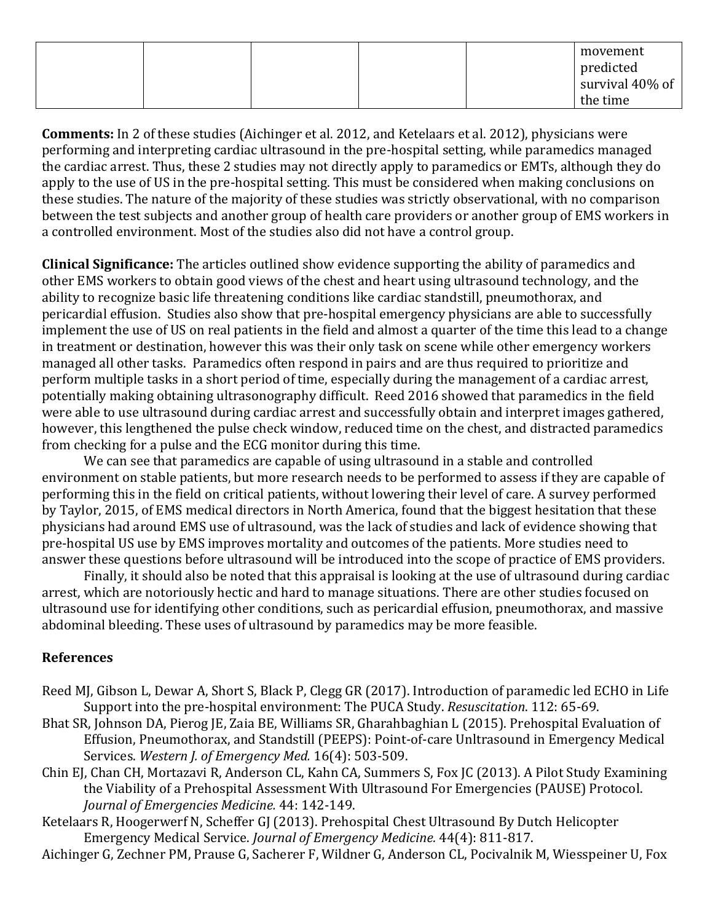|  |  |  | movement        |
|--|--|--|-----------------|
|  |  |  | predicted       |
|  |  |  | survival 40% of |
|  |  |  | the time        |

**Comments:** In 2 of these studies (Aichinger et al. 2012, and Ketelaars et al. 2012), physicians were performing and interpreting cardiac ultrasound in the pre-hospital setting, while paramedics managed the cardiac arrest. Thus, these 2 studies may not directly apply to paramedics or EMTs, although they do apply to the use of US in the pre-hospital setting. This must be considered when making conclusions on these studies. The nature of the majority of these studies was strictly observational, with no comparison between the test subjects and another group of health care providers or another group of EMS workers in a controlled environment. Most of the studies also did not have a control group.

**Clinical Significance:** The articles outlined show evidence supporting the ability of paramedics and other EMS workers to obtain good views of the chest and heart using ultrasound technology, and the ability to recognize basic life threatening conditions like cardiac standstill, pneumothorax, and pericardial effusion. Studies also show that pre-hospital emergency physicians are able to successfully implement the use of US on real patients in the field and almost a quarter of the time this lead to a change in treatment or destination, however this was their only task on scene while other emergency workers managed all other tasks. Paramedics often respond in pairs and are thus required to prioritize and perform multiple tasks in a short period of time, especially during the management of a cardiac arrest, potentially making obtaining ultrasonography difficult. Reed 2016 showed that paramedics in the field were able to use ultrasound during cardiac arrest and successfully obtain and interpret images gathered, however, this lengthened the pulse check window, reduced time on the chest, and distracted paramedics from checking for a pulse and the ECG monitor during this time.

We can see that paramedics are capable of using ultrasound in a stable and controlled environment on stable patients, but more research needs to be performed to assess if they are capable of performing this in the field on critical patients, without lowering their level of care. A survey performed by Taylor, 2015, of EMS medical directors in North America, found that the biggest hesitation that these physicians had around EMS use of ultrasound, was the lack of studies and lack of evidence showing that pre-hospital US use by EMS improves mortality and outcomes of the patients. More studies need to answer these questions before ultrasound will be introduced into the scope of practice of EMS providers.

Finally, it should also be noted that this appraisal is looking at the use of ultrasound during cardiac arrest, which are notoriously hectic and hard to manage situations. There are other studies focused on ultrasound use for identifying other conditions, such as pericardial effusion, pneumothorax, and massive abdominal bleeding. These uses of ultrasound by paramedics may be more feasible.

#### **References**

- Reed MJ, Gibson L, Dewar A, Short S, Black P, Clegg GR (2017). Introduction of paramedic led ECHO in Life Support into the pre-hospital environment: The PUCA Study. *Resuscitation*. 112: 65-69.
- Bhat SR, Johnson DA, Pierog JE, Zaia BE, Williams SR, Gharahbaghian L (2015). Prehospital Evaluation of Effusion, Pneumothorax, and Standstill (PEEPS): Point-of-care Unltrasound in Emergency Medical Services. *Western J. of Emergency Med.* 16(4): 503-509.
- Chin EJ, Chan CH, Mortazavi R, Anderson CL, Kahn CA, Summers S, Fox JC (2013). A Pilot Study Examining the Viability of a Prehospital Assessment With Ultrasound For Emergencies (PAUSE) Protocol. *Journal of Emergencies Medicine.* 44: 142-149.
- Ketelaars R, Hoogerwerf N, Scheffer GJ (2013). Prehospital Chest Ultrasound By Dutch Helicopter Emergency Medical Service. *Journal of Emergency Medicine.* 44(4): 811-817.

Aichinger G, Zechner PM, Prause G, Sacherer F, Wildner G, Anderson CL, Pocivalnik M, Wiesspeiner U, Fox